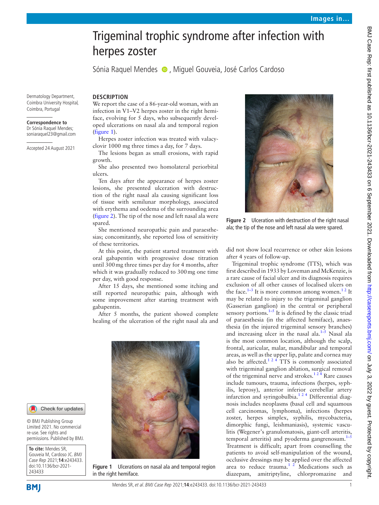# Trigeminal trophic syndrome after infection with herpes zoster

Sónia Raquel Mendes  $\bullet$ , Miguel Gouveia, José Carlos Cardoso

Dermatology Department, Coimbra University Hospital, Coimbra, Portugal

#### **Correspondence to**

Dr Sónia Raquel Mendes; soniaraquel23@gmail.com

Accepted 24 August 2021

## **DESCRIPTION**

We report the case of a 86-year-old woman, with an infection in V1–V2 herpes zoster in the right hemiface, evolving for 5 days, who subsequently developed ulcerations on nasal ala and temporal region ([figure](#page-0-0) 1).

Herpes zoster infection was treated with valacyclovir 1000 mg three times a day, for 7 days.

The lesions began as small erosions, with rapid growth.

She also presented two homolateral periorbital ulcers.

Ten days after the appearance of herpes zoster lesions, she presented ulceration with destruction of the right nasal ala causing significant loss of tissue with semilunar morphology, associated with erythema and oedema of the surrounding area ([figure](#page-0-1) 2). The tip of the nose and left nasal ala were spared.

She mentioned neuropathic pain and paraesthesias; concomitantly, she reported loss of sensitivity of these territories.

At this point, the patient started treatment with oral gabapentin with progressive dose titration until 300mg three times per day for 4 months, after which it was gradually reduced to 300mg one time per day, with good response.

After 15 days, she mentioned some itching and still reported neuropathic pain, although with some improvement after starting treatment with gabapentin.

After 5 months, the patient showed complete healing of the ulceration of the right nasal ala and



**Figure 1** Ulcerations on nasal ala and temporal region in the right hemiface.



**Figure 2** Ulceration with destruction of the right nasal ala; the tip of the nose and left nasal ala were spared.

<span id="page-0-1"></span>did not show local recurrence or other skin lesions after 4 years of follow-up.

Trigeminal trophic syndrome (TTS), which was first described in 1933 by Loveman and McKenzie, is a rare cause of facial ulcer and its diagnosis requires exclusion of all other causes of localised ulcers on the face.<sup>1–3</sup> It is more common among women.<sup>12</sup> It may be related to injury to the trigeminal ganglion (Gasserian ganglion) in the central or peripheral sensory portions.<sup>[1–5](#page-1-0)</sup> It is defined by the classic triad of paraesthesia (in the affected hemiface), anaesthesia (in the injured trigeminal sensory branches) and increasing ulcer in the nasal ala. $1-\overline{5}$  Nasal ala is the most common location, although the scalp, frontal, auricular, malar, mandibular and temporal areas, as well as the upper lip, palate and cornea may also be affected.<sup>1 2 4</sup> TTS is commonly associated with trigeminal ganglion ablation, surgical removal of the trigeminal nerve and strokes.<sup>124</sup> Rare causes include tumours, trauma, infections (herpes, syphilis, leprosy), anterior inferior cerebellar artery infarction and syringobulbia. $124$  Differential diagnosis includes neoplasms (basal cell and squamous cell carcinomas, lymphoma), infections (herpes zoster, herpes simplex, syphilis, mycobacteria, dimorphic fungi, leishmaniasis), systemic vasculitis (Wegener's granulomatosis, giant-cell arteritis, temporal arteritis) and pyoderma gangrenosum. $1-5$ Treatment is difficult; apart from counselling the patients to avoid self-manipulation of the wound, occlusive dressings may be applied over the affected area to reduce trauma. $12$  Medications such as diazepam, amitriptyline, chlorpromazine and

# Check for updates

© BMJ Publishing Group Limited 2021. No commercial re-use. See rights and permissions. Published by BMJ.

<span id="page-0-0"></span>**To cite:** Mendes SR, Gouveia M, Cardoso JC. BMJ Case Rep 2021;**14**:e243433. doi:10.1136/bcr-2021- 243433